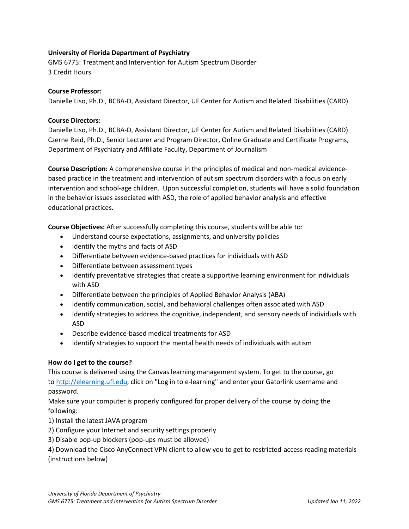# **University of Florida Department of Psychiatry**

GMS 6775: Treatment and Intervention for Autism Spectrum Disorder 3 Credit Hours

### **Course Professor:**

Danielle Liso, Ph.D., BCBA-D, Assistant Director, UF Center for Autism and Related Disabilities (CARD)

# **Course Directors:**

Danielle Liso, Ph.D., BCBA-D, Assistant Director, UF Center for Autism and Related Disabilities (CARD) Czerne Reid, Ph.D., Senior Lecturer and Program Director, Online Graduate and Certificate Programs, Department of Psychiatry and Affiliate Faculty, Department of Journalism

**Course Description:** A comprehensive course in the principles of medical and non-medical evidencebased practice in the treatment and intervention of autism spectrum disorders with a focus on early intervention and school-age children. Upon successful completion, students will have a solid foundation in the behavior issues associated with ASD, the role of applied behavior analysis and effective educational practices.

**Course Objectives:** After successfully completing this course, students will be able to:

- Understand course expectations, assignments, and university policies
- Identify the myths and facts of ASD
- Differentiate between evidence-based practices for individuals with ASD
- Differentiate between assessment types
- Identify preventative strategies that create a supportive learning environment for individuals with ASD
- Differentiate between the principles of Applied Behavior Analysis (ABA)
- Identify communication, social, and behavioral challenges often associated with ASD
- Identify strategies to address the cognitive, independent, and sensory needs of individuals with ASD
- Describe evidence-based medical treatments for ASD
- Identify strategies to support the mental health needs of individuals with autism

### **How do I get to the course?**

This course is delivered using the Canvas learning management system. To get to the course, go to [http://elearning.ufl.edu,](http://elearning.ufl.edu/) click on "Log in to e-learning" and enter your Gatorlink username and password.

Make sure your computer is properly configured for proper delivery of the course by doing the following:

- 1) Install the latest JAVA program
- 2) Configure your Internet and security settings properly
- 3) Disable pop-up blockers (pop-ups must be allowed)

4) Download the Cisco AnyConnect VPN client to allow you to get to restricted-access reading materials (instructions below)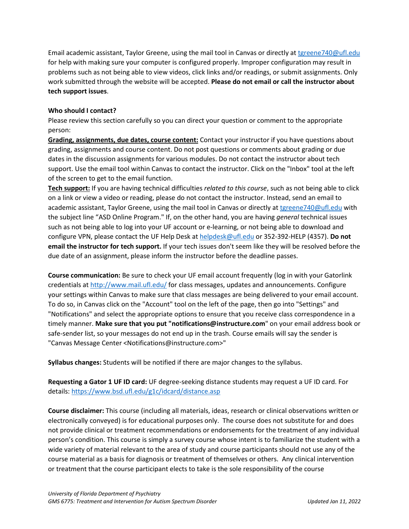Email academic assistant, Taylor Greene, using the mail tool in Canvas or directly at [tgreene740@ufl.edu](mailto:tgreene740@ufl.edu) for help with making sure your computer is configured properly. Improper configuration may result in problems such as not being able to view videos, click links and/or readings, or submit assignments. Only work submitted through the website will be accepted. **Please do not email or call the instructor about tech support issues**.

# **Who should I contact?**

Please review this section carefully so you can direct your question or comment to the appropriate person:

**Grading, assignments, due dates, course content:** Contact your instructor if you have questions about grading, assignments and course content. Do not post questions or comments about grading or due dates in the discussion assignments for various modules. Do not contact the instructor about tech support. Use the email tool within Canvas to contact the instructor. Click on the "Inbox" tool at the left of the screen to get to the email function.

**Tech support:** If you are having technical difficulties *related to this course*, such as not being able to click on a link or view a video or reading, please do not contact the instructor. Instead, send an email to academic assistant, Taylor Greene, using the mail tool in Canvas or directly at [tgreene740@ufl.edu](mailto:tgreene740@ufl.edu) with the subject line "ASD Online Program." If, on the other hand, you are having *general* technical issues such as not being able to log into your UF account or e-learning, or not being able to download and configure VPN, please contact the UF Help Desk at [helpdesk@ufl.edu](mailto:helpdesk@ufl.edu) or 352-392-HELP (4357). **Do not email the instructor for tech support.** If your tech issues don't seem like they will be resolved before the due date of an assignment, please inform the instructor before the deadline passes.

**Course communication:** Be sure to check your UF email account frequently (log in with your Gatorlink credentials at [http://www.mail.ufl.edu/](http://www.mail.ufl.edu/)) for class messages, updates and announcements. Configure your settings within Canvas to make sure that class messages are being delivered to your email account. To do so, in Canvas click on the "Account" tool on the left of the page, then go into "Settings" and "Notifications" and select the appropriate options to ensure that you receive class correspondence in a timely manner. **Make sure that you put "notifications@instructure.com**" on your email address book or safe-sender list, so your messages do not end up in the trash. Course emails will say the sender is "Canvas Message Center <Notifications@instructure.com>"

**Syllabus changes:** Students will be notified if there are major changes to the syllabus.

**Requesting a Gator 1 UF ID card:** UF degree-seeking distance students may request a UF ID card. For details:<https://www.bsd.ufl.edu/g1c/idcard/distance.asp>

**Course disclaimer:** This course (including all materials, ideas, research or clinical observations written or electronically conveyed) is for educational purposes only. The course does not substitute for and does not provide clinical or treatment recommendations or endorsements for the treatment of any individual person's condition. This course is simply a survey course whose intent is to familiarize the student with a wide variety of material relevant to the area of study and course participants should not use any of the course material as a basis for diagnosis or treatment of themselves or others. Any clinical intervention or treatment that the course participant elects to take is the sole responsibility of the course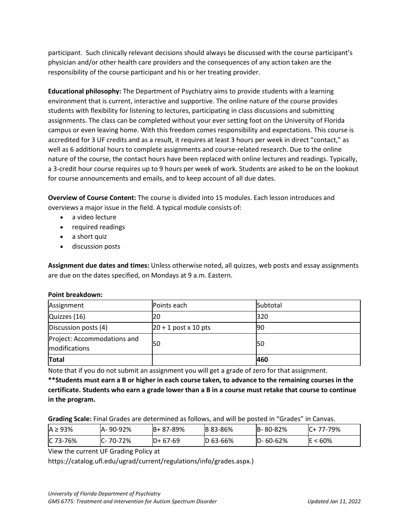participant. Such clinically relevant decisions should always be discussed with the course participant's physician and/or other health care providers and the consequences of any action taken are the responsibility of the course participant and his or her treating provider.

**Educational philosophy:** The Department of Psychiatry aims to provide students with a learning environment that is current, interactive and supportive. The online nature of the course provides students with flexibility for listening to lectures, participating in class discussions and submitting assignments. The class can be completed without your ever setting foot on the University of Florida campus or even leaving home. With this freedom comes responsibility and expectations. This course is accredited for 3 UF credits and as a result, it requires at least 3 hours per week in direct "contact," as well as 6 additional hours to complete assignments and course-related research. Due to the online nature of the course, the contact hours have been replaced with online lectures and readings. Typically, a 3-credit hour course requires up to 9 hours per week of work. Students are asked to be on the lookout for course announcements and emails, and to keep account of all due dates.

**Overview of Course Content:** The course is divided into 15 modules. Each lesson introduces and overviews a major issue in the field. A typical module consists of:

- a video lecture
- required readings
- a short quiz
- discussion posts

**Assignment due dates and times:** Unless otherwise noted, all quizzes, web posts and essay assignments are due on the dates specified, on Mondays at 9 a.m. Eastern.

| Assignment                                   | Points each             | Subtotal |
|----------------------------------------------|-------------------------|----------|
| Quizzes (16)                                 | 20                      | 320      |
| Discussion posts (4)                         | $ 20 + 1$ post x 10 pts | 190      |
| Project: Accommodations and<br>modifications | 50                      | l50      |
| <b>Total</b>                                 |                         | 460      |

### **Point breakdown:**

Note that if you do not submit an assignment you will get a grade of zero for that assignment.

**\*\*Students must earn a B or higher in each course taken, to advance to the remaining courses in the certificate. Students who earn a grade lower than a B in a course must retake that course to continue in the program.**

**Grading Scale:** Final Grades are determined as follows, and will be posted in "Grades" in Canvas.

| $IA \geq 93\%$ | A-90-92% | B+87-89%  | <b>IB 83-86%</b> | $B - 80 - 82%$  | C+ 77-79%  |
|----------------|----------|-----------|------------------|-----------------|------------|
| IC 73-76%      | C-70-72% | $D+67-69$ | $ D 63 - 66%$    | $ID - 60 - 62%$ | $E < 60\%$ |

View the current UF Grading Policy at

https://catalog.ufl.edu/ugrad/current/regulations/info/grades.aspx.)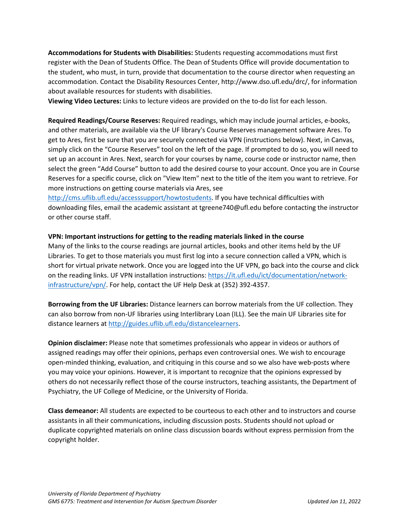**Accommodations for Students with Disabilities:** Students requesting accommodations must first register with the Dean of Students Office. The Dean of Students Office will provide documentation to the student, who must, in turn, provide that documentation to the course director when requesting an accommodation. Contact the Disability Resources Center, http://www.dso.ufl.edu/drc/, for information about available resources for students with disabilities.

**Viewing Video Lectures:** Links to lecture videos are provided on the to-do list for each lesson.

**Required Readings/Course Reserves:** Required readings, which may include journal articles, e-books, and other materials, are available via the UF library's Course Reserves management software Ares. To get to Ares, first be sure that you are securely connected via VPN (instructions below). Next, in Canvas, simply click on the "Course Reserves" tool on the left of the page. If prompted to do so, you will need to set up an account in Ares. Next, search for your courses by name, course code or instructor name, then select the green "Add Course" button to add the desired course to your account. Once you are in Course Reserves for a specific course, click on "View Item" next to the title of the item you want to retrieve. For more instructions on getting course materials via Ares, see

[http://cms.uflib.ufl.edu/accesssupport/howtostudents.](http://cms.uflib.ufl.edu/accesssupport/howtostudents) If you have technical difficulties with downloading files, email the academic assistant at tgreene740@ufl.edu before contacting the instructor or other course staff.

#### **VPN: Important instructions for getting to the reading materials linked in the course**

Many of the links to the course readings are journal articles, books and other items held by the UF Libraries. To get to those materials you must first log into a secure connection called a VPN, which is short for virtual private network. Once you are logged into the UF VPN, go back into the course and click on the reading links. UF VPN installation instructions[: https://it.ufl.edu/ict/documentation/network](https://it.ufl.edu/ict/documentation/network-infrastructure/vpn/)[infrastructure/vpn/.](https://it.ufl.edu/ict/documentation/network-infrastructure/vpn/) For help, contact the UF Help Desk at (352) 392-4357.

**Borrowing from the UF Libraries:** Distance learners can borrow materials from the UF collection. They can also borrow from non-UF libraries using Interlibrary Loan (ILL). See the main UF Libraries site for distance learners at [http://guides.uflib.ufl.edu/distancelearners.](http://guides.uflib.ufl.edu/distancelearners)

**Opinion disclaimer:** Please note that sometimes professionals who appear in videos or authors of assigned readings may offer their opinions, perhaps even controversial ones. We wish to encourage open-minded thinking, evaluation, and critiquing in this course and so we also have web-posts where you may voice your opinions. However, it is important to recognize that the opinions expressed by others do not necessarily reflect those of the course instructors, teaching assistants, the Department of Psychiatry, the UF College of Medicine, or the University of Florida.

**Class demeanor:** All students are expected to be courteous to each other and to instructors and course assistants in all their communications, including discussion posts. Students should not upload or duplicate copyrighted materials on online class discussion boards without express permission from the copyright holder.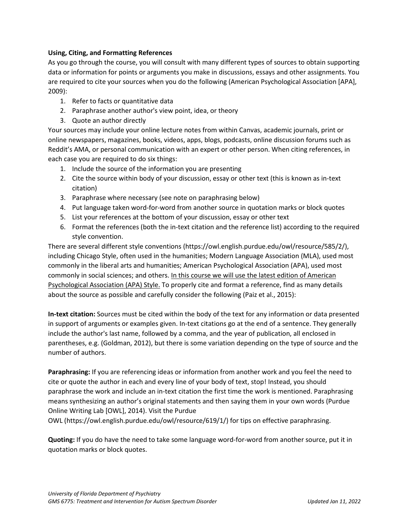# **Using, Citing, and Formatting References**

As you go through the course, you will consult with many different types of sources to obtain supporting data or information for points or arguments you make in discussions, essays and other assignments. You are required to cite your sources when you do the following (American Psychological Association [APA], 2009):

- 1. Refer to facts or quantitative data
- 2. Paraphrase another author's view point, idea, or theory
- 3. Quote an author directly

Your sources may include your online lecture notes from within Canvas, academic journals, print or online newspapers, magazines, books, videos, apps, blogs, podcasts, online discussion forums such as Reddit's AMA, or personal communication with an expert or other person. When citing references, in each case you are required to do six things:

- 1. Include the source of the information you are presenting
- 2. Cite the source within body of your discussion, essay or other text (this is known as in-text citation)
- 3. Paraphrase where necessary (see note on paraphrasing below)
- 4. Put language taken word-for-word from another source in quotation marks or block quotes
- 5. List your references at the bottom of your discussion, essay or other text
- 6. Format the references (both the in-text citation and the reference list) according to the required style convention.

There are several different style conventions (https://owl.english.purdue.edu/owl/resource/585/2/), including Chicago Style, often used in the humanities; Modern Language Association (MLA), used most commonly in the liberal arts and humanities; American Psychological Association (APA), used most commonly in social sciences; and others. In this course we will use the latest edition of American Psychological Association (APA) Style. To properly cite and format a reference, find as many details about the source as possible and carefully consider the following (Paiz et al., 2015):

**In-text citation:** Sources must be cited within the body of the text for any information or data presented in support of arguments or examples given. In-text citations go at the end of a sentence. They generally include the author's last name, followed by a comma, and the year of publication, all enclosed in parentheses, e.g. (Goldman, 2012), but there is some variation depending on the type of source and the number of authors.

**Paraphrasing:** If you are referencing ideas or information from another work and you feel the need to cite or quote the author in each and every line of your body of text, stop! Instead, you should paraphrase the work and include an in-text citation the first time the work is mentioned. Paraphrasing means synthesizing an author's original statements and then saying them in your own words (Purdue Online Writing Lab [OWL], 2014). Visit the Purdue

OWL (https://owl.english.purdue.edu/owl/resource/619/1/) for tips on effective paraphrasing.

**Quoting:** If you do have the need to take some language word-for-word from another source, put it in quotation marks or block quotes.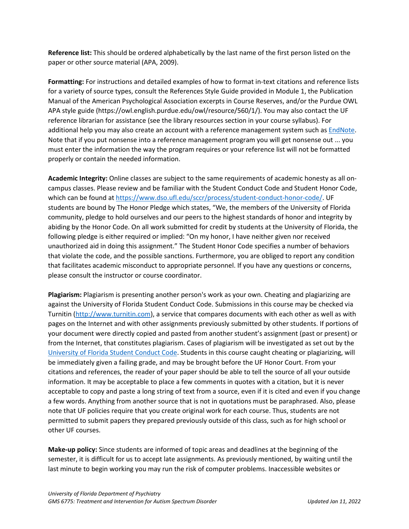**Reference list:** This should be ordered alphabetically by the last name of the first person listed on the paper or other source material (APA, 2009).

**Formatting:** For instructions and detailed examples of how to format in-text citations and reference lists for a variety of source types, consult the References Style Guide provided in Module 1, the Publication Manual of the American Psychological Association excerpts in Course Reserves, and/or the Purdue OWL APA style guide (https://owl.english.purdue.edu/owl/resource/560/1/). You may also contact the UF reference librarian for assistance (see the library resources section in your course syllabus). For additional help you may also create an account with a reference management system such as [EndNote.](https://guides.uflib.ufl.edu/endnote) Note that if you put nonsense into a reference management program you will get nonsense out ... you must enter the information the way the program requires or your reference list will not be formatted properly or contain the needed information.

**Academic Integrity:** Online classes are subject to the same requirements of academic honesty as all oncampus classes. Please review and be familiar with the Student Conduct Code and Student Honor Code, which can be found a[t https://www.dso.ufl.edu/sccr/process/student-conduct-honor-code/.](https://www.dso.ufl.edu/sccr/process/student-conduct-honor-code/) UF students are bound by The Honor Pledge which states, "We, the members of the University of Florida community, pledge to hold ourselves and our peers to the highest standards of honor and integrity by abiding by the Honor Code. On all work submitted for credit by students at the University of Florida, the following pledge is either required or implied: "On my honor, I have neither given nor received unauthorized aid in doing this assignment." The Student Honor Code specifies a number of behaviors that violate the code, and the possible sanctions. Furthermore, you are obliged to report any condition that facilitates academic misconduct to appropriate personnel. If you have any questions or concerns, please consult the instructor or course coordinator.

**Plagiarism:** Plagiarism is presenting another person's work as your own. Cheating and plagiarizing are against the University of Florida Student Conduct Code. Submissions in this course may be checked via Turnitin [\(http://www.turnitin.com\)](http://www.turnitin.com/), a service that compares documents with each other as well as with pages on the Internet and with other assignments previously submitted by other students. If portions of your document were directly copied and pasted from another student's assignment (past or present) or from the Internet, that constitutes plagiarism. Cases of plagiarism will be investigated as set out by the [University of Florida Student Conduct Code.](https://sccr.dso.ufl.edu/) Students in this course caught cheating or plagiarizing, will be immediately given a failing grade, and may be brought before the UF Honor Court. From your citations and references, the reader of your paper should be able to tell the source of all your outside information. It may be acceptable to place a few comments in quotes with a citation, but it is never acceptable to copy and paste a long string of text from a source, even if it is cited and even if you change a few words. Anything from another source that is not in quotations must be paraphrased. Also, please note that UF policies require that you create original work for each course. Thus, students are not permitted to submit papers they prepared previously outside of this class, such as for high school or other UF courses.

**Make-up policy:** Since students are informed of topic areas and deadlines at the beginning of the semester, it is difficult for us to accept late assignments. As previously mentioned, by waiting until the last minute to begin working you may run the risk of computer problems. Inaccessible websites or